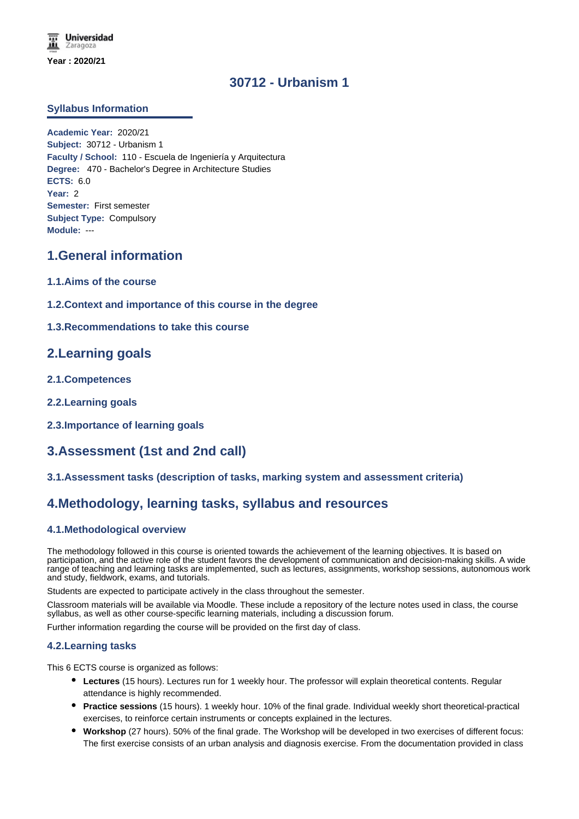# **30712 - Urbanism 1**

#### **Syllabus Information**

**Academic Year:** 2020/21 **Subject:** 30712 - Urbanism 1 **Faculty / School:** 110 - Escuela de Ingeniería y Arquitectura **Degree:** 470 - Bachelor's Degree in Architecture Studies **ECTS:** 6.0 **Year:** 2 **Semester:** First semester **Subject Type:** Compulsory **Module:** ---

### **1.General information**

- **1.1.Aims of the course**
- **1.2.Context and importance of this course in the degree**

### **1.3.Recommendations to take this course**

### **2.Learning goals**

- **2.1.Competences**
- **2.2.Learning goals**
- **2.3.Importance of learning goals**

## **3.Assessment (1st and 2nd call)**

#### **3.1.Assessment tasks (description of tasks, marking system and assessment criteria)**

### **4.Methodology, learning tasks, syllabus and resources**

#### **4.1.Methodological overview**

The methodology followed in this course is oriented towards the achievement of the learning objectives. It is based on participation, and the active role of the student favors the development of communication and decision-making skills. A wide range of teaching and learning tasks are implemented, such as lectures, assignments, workshop sessions, autonomous work and study, fieldwork, exams, and tutorials.

Students are expected to participate actively in the class throughout the semester.

Classroom materials will be available via Moodle. These include a repository of the lecture notes used in class, the course syllabus, as well as other course-specific learning materials, including a discussion forum.

Further information regarding the course will be provided on the first day of class.

#### **4.2.Learning tasks**

This 6 ECTS course is organized as follows:

- **Lectures** (15 hours). Lectures run for 1 weekly hour. The professor will explain theoretical contents. Regular attendance is highly recommended.
- **Practice sessions** (15 hours). 1 weekly hour. 10% of the final grade. Individual weekly short theoretical-practical exercises, to reinforce certain instruments or concepts explained in the lectures.
- **Workshop** (27 hours). 50% of the final grade. The Workshop will be developed in two exercises of different focus: The first exercise consists of an urban analysis and diagnosis exercise. From the documentation provided in class